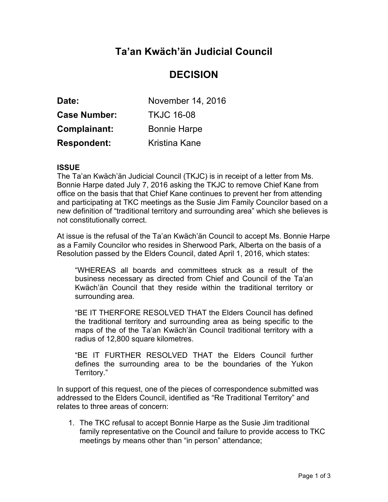# **Ta'an Kwäch'än Judicial Council**

## **DECISION**

| Date:               | November 14, 2016   |
|---------------------|---------------------|
| <b>Case Number:</b> | <b>TKJC 16-08</b>   |
| Complainant:        | <b>Bonnie Harpe</b> |
| <b>Respondent:</b>  | Kristina Kane       |

### **ISSUE**

The Ta'an Kwäch'än Judicial Council (TKJC) is in receipt of a letter from Ms. Bonnie Harpe dated July 7, 2016 asking the TKJC to remove Chief Kane from office on the basis that that Chief Kane continues to prevent her from attending and participating at TKC meetings as the Susie Jim Family Councilor based on a new definition of "traditional territory and surrounding area" which she believes is not constitutionally correct.

At issue is the refusal of the Ta'an Kwäch'än Council to accept Ms. Bonnie Harpe as a Family Councilor who resides in Sherwood Park, Alberta on the basis of a Resolution passed by the Elders Council, dated April 1, 2016, which states:

"WHEREAS all boards and committees struck as a result of the business necessary as directed from Chief and Council of the Ta'an Kwäch'än Council that they reside within the traditional territory or surrounding area.

"BE IT THERFORE RESOLVED THAT the Elders Council has defined the traditional territory and surrounding area as being specific to the maps of the of the Ta'an Kwäch'än Council traditional territory with a radius of 12,800 square kilometres.

"BE IT FURTHER RESOLVED THAT the Elders Council further defines the surrounding area to be the boundaries of the Yukon Territory."

In support of this request, one of the pieces of correspondence submitted was addressed to the Elders Council, identified as "Re Traditional Territory" and relates to three areas of concern:

1. The TKC refusal to accept Bonnie Harpe as the Susie Jim traditional family representative on the Council and failure to provide access to TKC meetings by means other than "in person" attendance;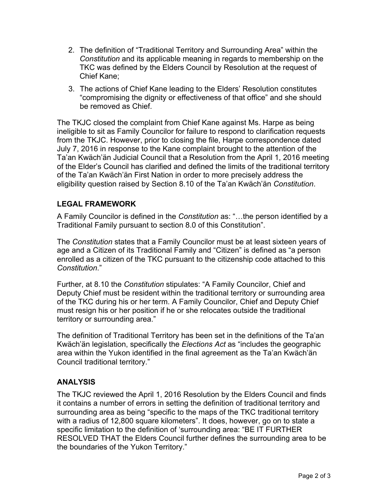- 2. The definition of "Traditional Territory and Surrounding Area" within the *Constitution* and its applicable meaning in regards to membership on the TKC was defined by the Elders Council by Resolution at the request of Chief Kane;
- 3. The actions of Chief Kane leading to the Elders' Resolution constitutes "compromising the dignity or effectiveness of that office" and she should be removed as Chief.

The TKJC closed the complaint from Chief Kane against Ms. Harpe as being ineligible to sit as Family Councilor for failure to respond to clarification requests from the TKJC. However, prior to closing the file, Harpe correspondence dated July 7, 2016 in response to the Kane complaint brought to the attention of the Ta'an Kwäch'än Judicial Council that a Resolution from the April 1, 2016 meeting of the Elder's Council has clarified and defined the limits of the traditional territory of the Ta'an Kwäch'än First Nation in order to more precisely address the eligibility question raised by Section 8.10 of the Ta'an Kwäch'än *Constitution*.

## **LEGAL FRAMEWORK**

A Family Councilor is defined in the *Constitution* as: "…the person identified by a Traditional Family pursuant to section 8.0 of this Constitution".

The *Constitution* states that a Family Councilor must be at least sixteen years of age and a Citizen of its Traditional Family and "Citizen" is defined as "a person enrolled as a citizen of the TKC pursuant to the citizenship code attached to this *Constitution*."

Further, at 8.10 the *Constitution* stipulates: "A Family Councilor, Chief and Deputy Chief must be resident within the traditional territory or surrounding area of the TKC during his or her term. A Family Councilor, Chief and Deputy Chief must resign his or her position if he or she relocates outside the traditional territory or surrounding area."

The definition of Traditional Territory has been set in the definitions of the Ta'an Kwäch'än legislation, specifically the *Elections Act* as "includes the geographic area within the Yukon identified in the final agreement as the Ta'an Kwäch'än Council traditional territory."

### **ANALYSIS**

The TKJC reviewed the April 1, 2016 Resolution by the Elders Council and finds it contains a number of errors in setting the definition of traditional territory and surrounding area as being "specific to the maps of the TKC traditional territory with a radius of 12,800 square kilometers". It does, however, go on to state a specific limitation to the definition of 'surrounding area: "BE IT FURTHER RESOLVED THAT the Elders Council further defines the surrounding area to be the boundaries of the Yukon Territory."